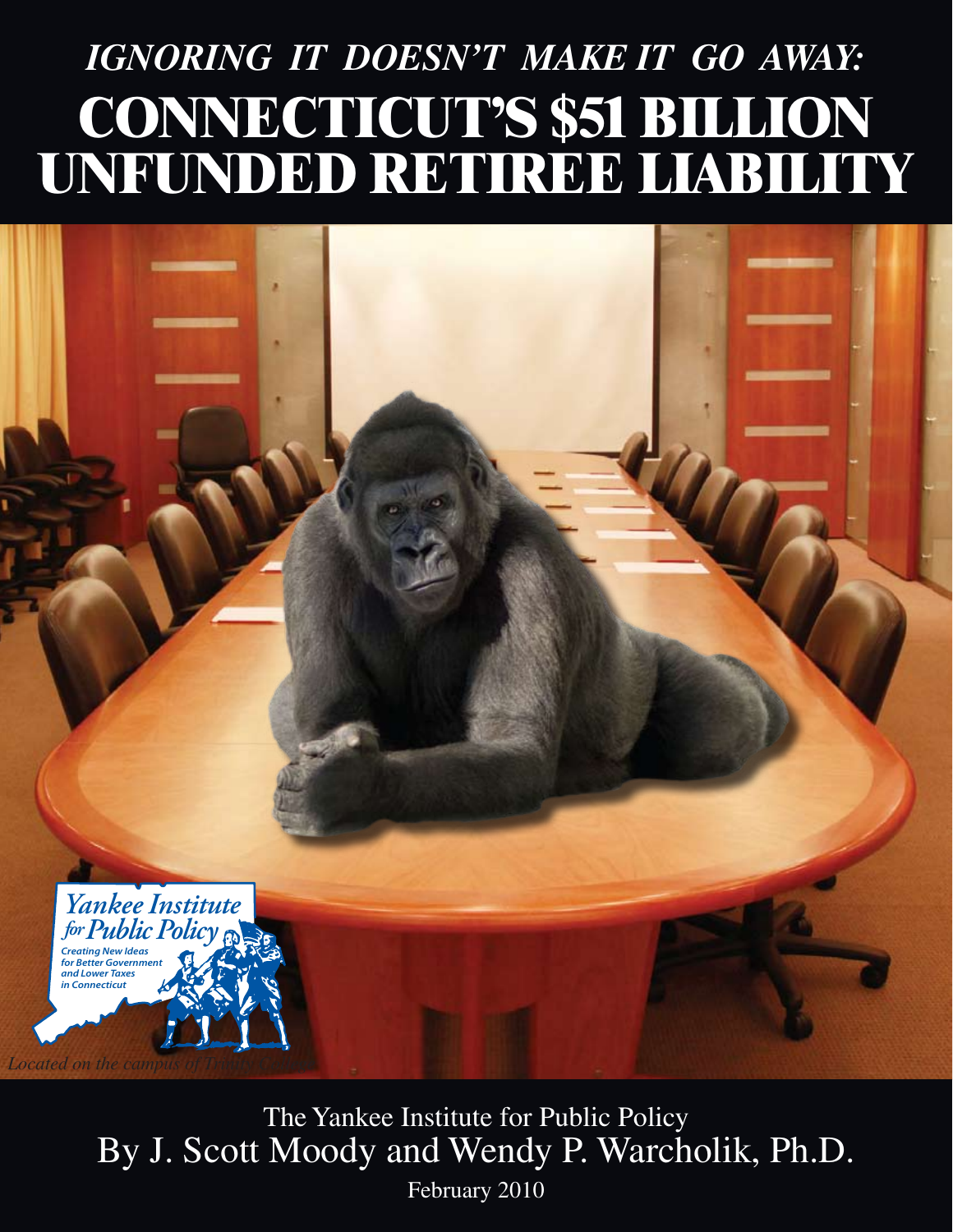# *IGNORING IT DOESN'T MAKE IT GO AWAY:* **CONNECTICUT'S \$51 BILLION UNFUNDED RETIREE LIABILITY**

The Yankee Institute for Public Policy By J. Scott Moody and Wendy P. Warcholik, Ph.D.

*Creating New Ideas for Better Governmen and Lower Taxes in Connecticut*

*Located on the campus of Trinity College*

*YankeeInstitute forPublicPolicy*

February 2010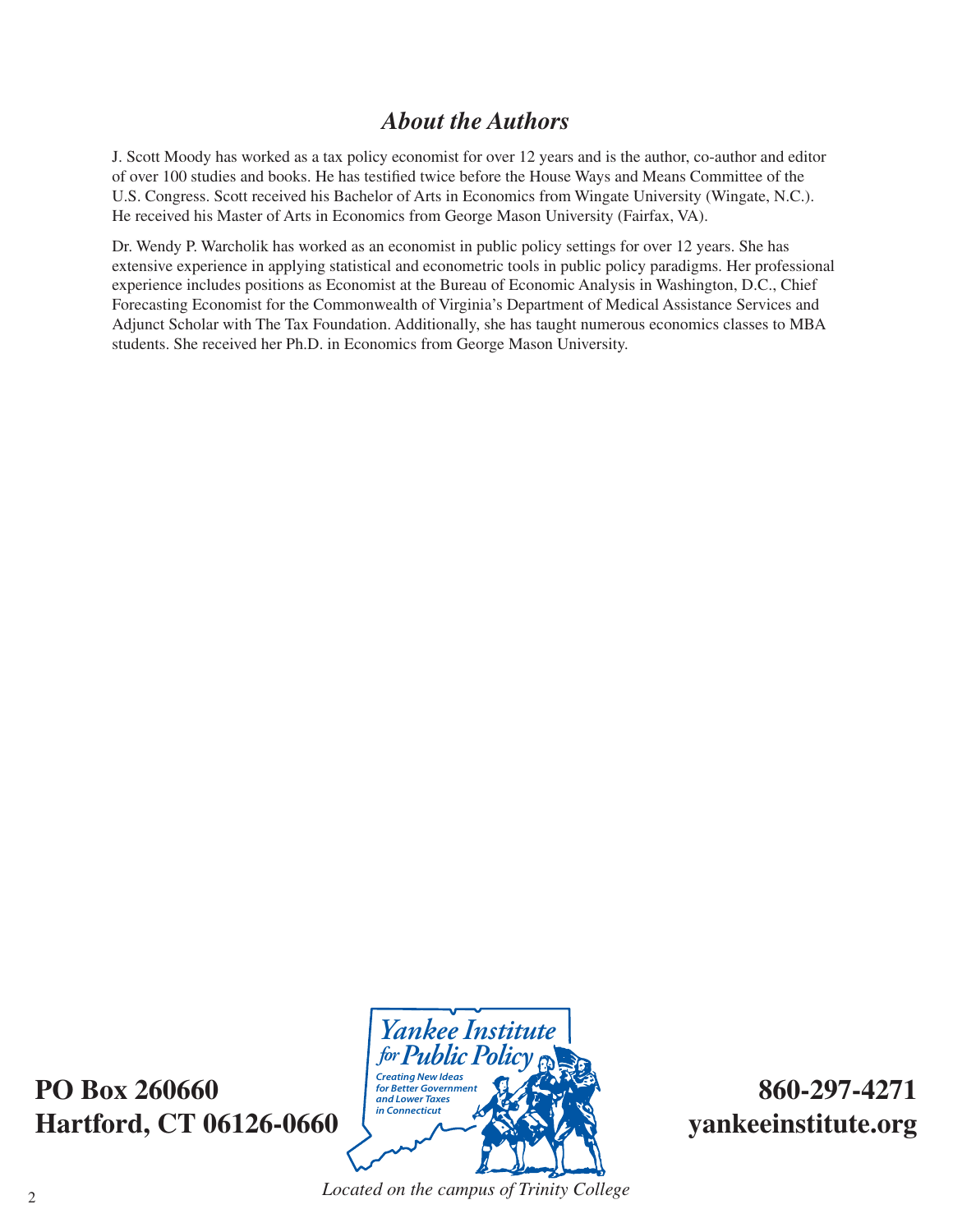# *About the Authors*

J. Scott Moody has worked as a tax policy economist for over 12 years and is the author, co-author and editor of over 100 studies and books. He has testified twice before the House Ways and Means Committee of the U.S. Congress. Scott received his Bachelor of Arts in Economics from Wingate University (Wingate, N.C.). He received his Master of Arts in Economics from George Mason University (Fairfax, VA).

Dr. Wendy P. Warcholik has worked as an economist in public policy settings for over 12 years. She has extensive experience in applying statistical and econometric tools in public policy paradigms. Her professional experience includes positions as Economist at the Bureau of Economic Analysis in Washington, D.C., Chief Forecasting Economist for the Commonwealth of Virginia's Department of Medical Assistance Services and Adjunct Scholar with The Tax Foundation. Additionally, she has taught numerous economics classes to MBA students. She received her Ph.D. in Economics from George Mason University.

**PO Box 260660 860-297-4271** Hartford, CT 06126-0660



*Located on the campus of Trinity College* <sup>2</sup>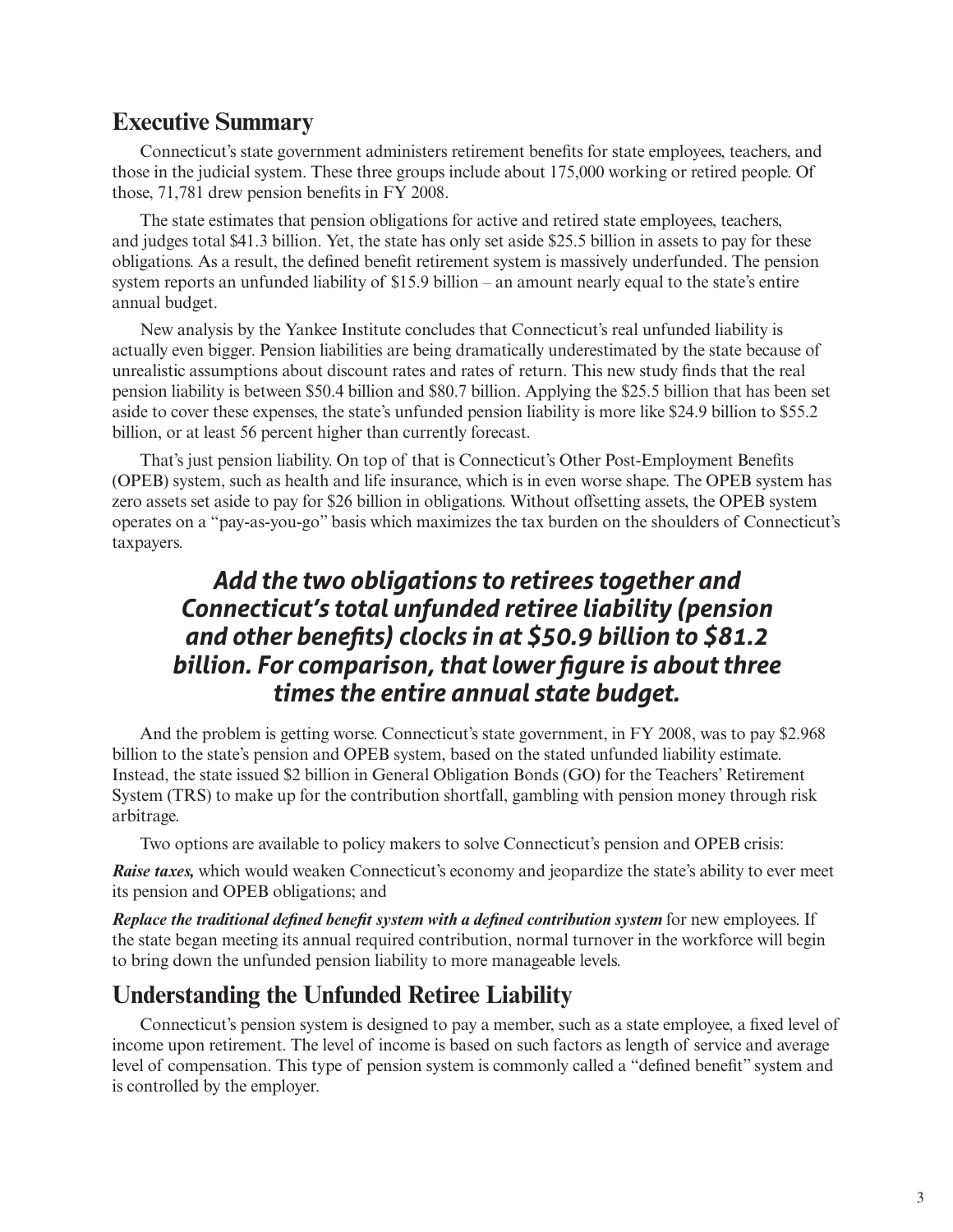#### **Executive Summary**

Connecticut's state government administers retirement benefits for state employees, teachers, and those in the judicial system. These three groups include about 175,000 working or retired people. Of those, 71,781 drew pension benefits in FY 2008.

The state estimates that pension obligations for active and retired state employees, teachers, and judges total \$41.3 billion. Yet, the state has only set aside \$25.5 billion in assets to pay for these obligations. As a result, the defined benefit retirement system is massively underfunded. The pension system reports an unfunded liability of \$15.9 billion – an amount nearly equal to the state's entire annual budget.

New analysis by the Yankee Institute concludes that Connecticut's real unfunded liability is actually even bigger. Pension liabilities are being dramatically underestimated by the state because of unrealistic assumptions about discount rates and rates of return. This new study finds that the real pension liability is between \$50.4 billion and \$80.7 billion. Applying the \$25.5 billion that has been set aside to cover these expenses, the state's unfunded pension liability is more like \$24.9 billion to \$55.2 billion, or at least 56 percent higher than currently forecast.

That's just pension liability. On top of that is Connecticut's Other Post-Employment Benefits (OPEB) system, such as health and life insurance, which is in even worse shape. The OPEB system has zero assets set aside to pay for \$26 billion in obligations. Without offsetting assets, the OPEB system operates on a "pay-as-you-go" basis which maximizes the tax burden on the shoulders of Connecticut's taxpayers.

# *Add the two obligations to retirees together and Connecticut's total unfunded retiree liability (pension and other benefits) clocks in at \$50.9 billion to \$81.2 billion. For comparison, that lower figure is about three times the entire annual state budget.*

And the problem is getting worse. Connecticut's state government, in FY 2008, was to pay \$2.968 billion to the state's pension and OPEB system, based on the stated unfunded liability estimate. Instead, the state issued \$2 billion in General Obligation Bonds (GO) for the Teachers' Retirement System (TRS) to make up for the contribution shortfall, gambling with pension money through risk arbitrage.

Two options are available to policy makers to solve Connecticut's pension and OPEB crisis:

*Raise taxes,* which would weaken Connecticut's economy and jeopardize the state's ability to ever meet its pension and OPEB obligations; and

*Replace the traditional defined benefit system with a defined contribution system for new employees.* If the state began meeting its annual required contribution, normal turnover in the workforce will begin to bring down the unfunded pension liability to more manageable levels.

#### **Understanding the Unfunded Retiree Liability**

Connecticut's pension system is designed to pay a member, such as a state employee, a fixed level of income upon retirement. The level of income is based on such factors as length of service and average level of compensation. This type of pension system is commonly called a "defined benefit" system and is controlled by the employer.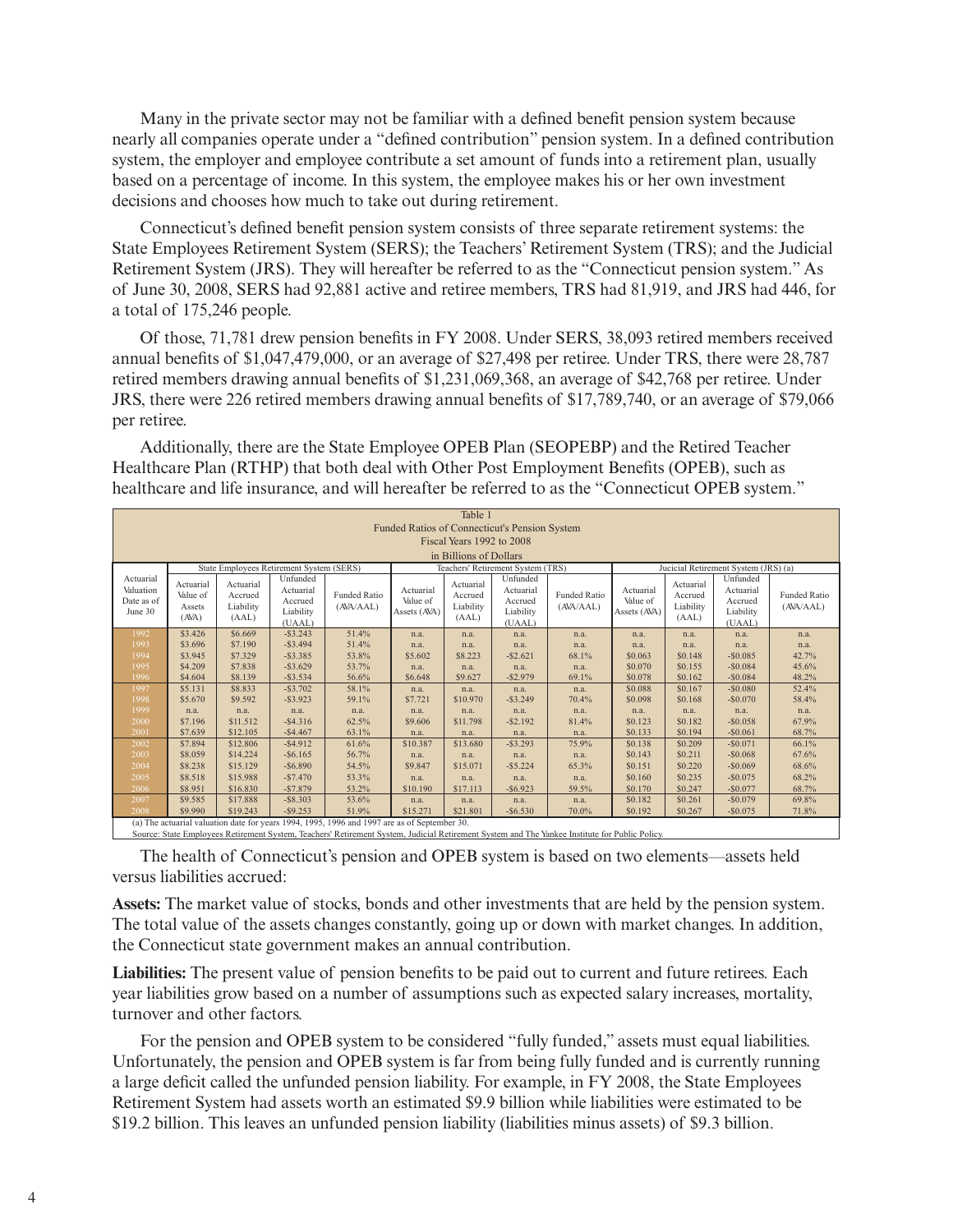Many in the private sector may not be familiar with a defined benefit pension system because nearly all companies operate under a "defined contribution" pension system. In a defined contribution system, the employer and employee contribute a set amount of funds into a retirement plan, usually based on a percentage of income. In this system, the employee makes his or her own investment decisions and chooses how much to take out during retirement.

Connecticut's defined benefit pension system consists of three separate retirement systems: the State Employees Retirement System (SERS); the Teachers' Retirement System (TRS); and the Judicial Retirement System (JRS). They will hereafter be referred to as the "Connecticut pension system." As of June 30, 2008, SERS had 92,881 active and retiree members, TRS had 81,919, and JRS had 446, for a total of 175,246 people.

Of those, 71,781 drew pension benefits in FY 2008. Under SERS, 38,093 retired members received annual benefits of \$1,047,479,000, or an average of \$27,498 per retiree. Under TRS, there were 28,787 retired members drawing annual benefits of \$1,231,069,368, an average of \$42,768 per retiree. Under JRS, there were 226 retired members drawing annual benefits of \$17,789,740, or an average of \$79,066 per retiree.

Additionally, there are the State Employee OPEB Plan (SEOPEBP) and the Retired Teacher Healthcare Plan (RTHP) that both deal with Other Post Employment Benefits (OPEB), such as healthcare and life insurance, and will hereafter be referred to as the "Connecticut OPEB system."

|                                                 | Table 1                                                                                                               |                                            |                                                         |                           |                                       |                                            |                                                         |                                  |                                       |                                            |                                                         |                                  |
|-------------------------------------------------|-----------------------------------------------------------------------------------------------------------------------|--------------------------------------------|---------------------------------------------------------|---------------------------|---------------------------------------|--------------------------------------------|---------------------------------------------------------|----------------------------------|---------------------------------------|--------------------------------------------|---------------------------------------------------------|----------------------------------|
| Funded Ratios of Connecticut's Pension System   |                                                                                                                       |                                            |                                                         |                           |                                       |                                            |                                                         |                                  |                                       |                                            |                                                         |                                  |
|                                                 | Fiscal Years 1992 to 2008                                                                                             |                                            |                                                         |                           |                                       |                                            |                                                         |                                  |                                       |                                            |                                                         |                                  |
| in Billions of Dollars                          |                                                                                                                       |                                            |                                                         |                           |                                       |                                            |                                                         |                                  |                                       |                                            |                                                         |                                  |
|                                                 | State Employees Retirement System (SERS)<br>Jucicial Retirement System (JRS) (a)<br>Teachers' Retirement System (TRS) |                                            |                                                         |                           |                                       |                                            |                                                         |                                  |                                       |                                            |                                                         |                                  |
| Actuarial<br>Valuation<br>Date as of<br>June 30 | Actuarial<br>Value of<br>Assets<br>(ANA)                                                                              | Actuarial<br>Accrued<br>Liability<br>(AAL) | Unfunded<br>Actuarial<br>Accrued<br>Liability<br>(UAAL) | Funded Ratio<br>(AVA/AAL) | Actuarial<br>Value of<br>Assets (AVA) | Actuarial<br>Accrued<br>Liability<br>(AAL) | Unfunded<br>Actuarial<br>Accrued<br>Liability<br>(UAAL) | <b>Funded Ratio</b><br>(AVA/AAL) | Actuarial<br>Value of<br>Assets (AVA) | Actuarial<br>Accrued<br>Liability<br>(AAL) | Unfunded<br>Actuarial<br>Accrued<br>Liability<br>(UAAL) | <b>Funded Ratio</b><br>(AVA/AAL) |
| 1992                                            | \$3,426                                                                                                               | \$6,669                                    | $-$ \$3.243                                             | 51.4%                     | n.a.                                  | n.a.                                       | n.a.                                                    | n.a.                             | n.a.                                  | n.a.                                       | n.a.                                                    | n.a.                             |
| 1993                                            | \$3.696                                                                                                               | \$7.190                                    | $-$ \$3.494                                             | 51.4%                     | n.a.                                  | n.a.                                       | n.a.                                                    | n.a.                             | n.a.                                  | n.a.                                       | n.a.                                                    | n.a.                             |
| 1994                                            | \$3.945                                                                                                               | \$7.329                                    | $-$ \$3.385                                             | 53.8%                     | \$5.602                               | \$8.223                                    | $-$2.621$                                               | 68.1%                            | \$0.063                               | \$0.148                                    | $-$ \$0.085                                             | 42.7%                            |
| 1995                                            | \$4.209                                                                                                               | \$7.838                                    | $-$ \$3.629                                             | 53.7%                     | n.a.                                  | n.a.                                       | n.a.                                                    | n.a.                             | \$0.070                               | \$0.155                                    | $-$ \$0.084                                             | 45.6%                            |
| 1996<br>1997                                    | \$4.604<br>\$5.131                                                                                                    | \$8.139<br>\$8.833                         | $-$ \$3.534<br>$-$ \$3.702                              | 56.6%<br>58.1%            | \$6.648                               | \$9.627                                    | $-$ \$2.979                                             | 69.1%                            | \$0.078<br>\$0.088                    | \$0.162<br>\$0.167                         | $-$ \$0.084<br>$-$ \$0.080                              | 48.2%                            |
| 1998                                            | \$5.670                                                                                                               | \$9.592                                    | $-$ \$3.923                                             | 59.1%                     | n.a.<br>\$7,721                       | n.a.<br>\$10.970                           | n.a.<br>$-$ \$3.249                                     | n.a.<br>70.4%                    | \$0.098                               | \$0.168                                    | $-S0.070$                                               | 52.4%<br>58.4%                   |
| 1999                                            | n.a.                                                                                                                  | n.a.                                       | n.a.                                                    | n.a.                      | n.a.                                  | n.a.                                       | n.a.                                                    | n.a.                             | n.a.                                  | n.a.                                       | n.a.                                                    | n.a.                             |
| 2000                                            | \$7.196                                                                                                               | \$11.512                                   | $-$ \$4.316                                             | 62.5%                     | \$9.606                               | \$11,798                                   | $-$ \$2.192                                             | 81.4%                            | \$0.123                               | \$0.182                                    | $-$ \$0.058                                             | 67.9%                            |
| 2001                                            | \$7.639                                                                                                               | \$12.105                                   | $-$4.467$                                               | 63.1%                     | n.a.                                  | n.a.                                       | n.a.                                                    | n.a.                             | \$0.133                               | \$0.194                                    | $-$0.061$                                               | 68.7%                            |
| 2002                                            | \$7.894                                                                                                               | \$12.806                                   | $-$ \$4.912                                             | 61.6%                     | \$10.387                              | \$13,680                                   | $-$ \$3.293                                             | 75.9%                            | \$0.138                               | \$0.209                                    | $-$0.071$                                               | 66.1%                            |
| 2003                                            | \$8,059                                                                                                               | \$14,224                                   | $-$ \$6.165                                             | 56.7%                     | n.a.                                  | n.a.                                       | n.a.                                                    | n.a.                             | \$0.143                               | \$0.211                                    | $-$ \$0.068                                             | 67.6%                            |
| 2004                                            | \$8.238                                                                                                               | \$15,129                                   | $-$ \$6.890                                             | 54.5%                     | \$9.847                               | \$15.071                                   | $-$ \$5.224                                             | 65.3%                            | \$0.151                               | \$0.220                                    | $-$ \$0.069                                             | 68.6%                            |
| 2005                                            | \$8.518                                                                                                               | \$15.988                                   | $-$7.470$                                               | 53.3%                     | n.a.                                  | n.a.                                       | n.a.                                                    | n.a.                             | \$0.160                               | \$0.235                                    | $-$ \$0.075                                             | 68.2%                            |
| 2006                                            | \$8.951                                                                                                               | \$16,830                                   | $-$7.879$                                               | 53.2%                     | \$10.190                              | \$17.113                                   | $-$ \$6.923                                             | 59.5%                            | \$0.170                               | \$0.247                                    | $-$0.077$                                               | 68.7%                            |
| 2007                                            | \$9.585                                                                                                               | \$17,888                                   | $-$ \$8.303                                             | 53.6%                     | n.a.                                  | n.a.                                       | n.a.                                                    | n.a.                             | \$0.182                               | \$0.261                                    | $-$ \$0.079                                             | 69.8%                            |
| 2008                                            | \$9,990                                                                                                               | \$19,243                                   | $-$ \$9.253                                             | 51.9%                     | \$15,271                              | \$21.801                                   | $-$ \$6.530                                             | 70.0%                            | \$0.192                               | \$0.267                                    | $-$0.075$                                               | 71.8%                            |
|                                                 | (a) The actuarial valuation date for years 1994, 1995, 1996 and 1997 are as of September 30.                          |                                            |                                                         |                           |                                       |                                            |                                                         |                                  |                                       |                                            |                                                         |                                  |

ent System, Teachers' Retirement System, Judicial Retirement System and The Yankee Institute for Public Policy

The health of Connecticut's pension and OPEB system is based on two elements—assets held versus liabilities accrued:

**Assets:** The market value of stocks, bonds and other investments that are held by the pension system. The total value of the assets changes constantly, going up or down with market changes. In addition, the Connecticut state government makes an annual contribution.

**Liabilities:** The present value of pension benefits to be paid out to current and future retirees. Each year liabilities grow based on a number of assumptions such as expected salary increases, mortality, turnover and other factors.

For the pension and OPEB system to be considered "fully funded," assets must equal liabilities. Unfortunately, the pension and OPEB system is far from being fully funded and is currently running a large deficit called the unfunded pension liability. For example, in FY 2008, the State Employees Retirement System had assets worth an estimated \$9.9 billion while liabilities were estimated to be \$19.2 billion. This leaves an unfunded pension liability (liabilities minus assets) of \$9.3 billion.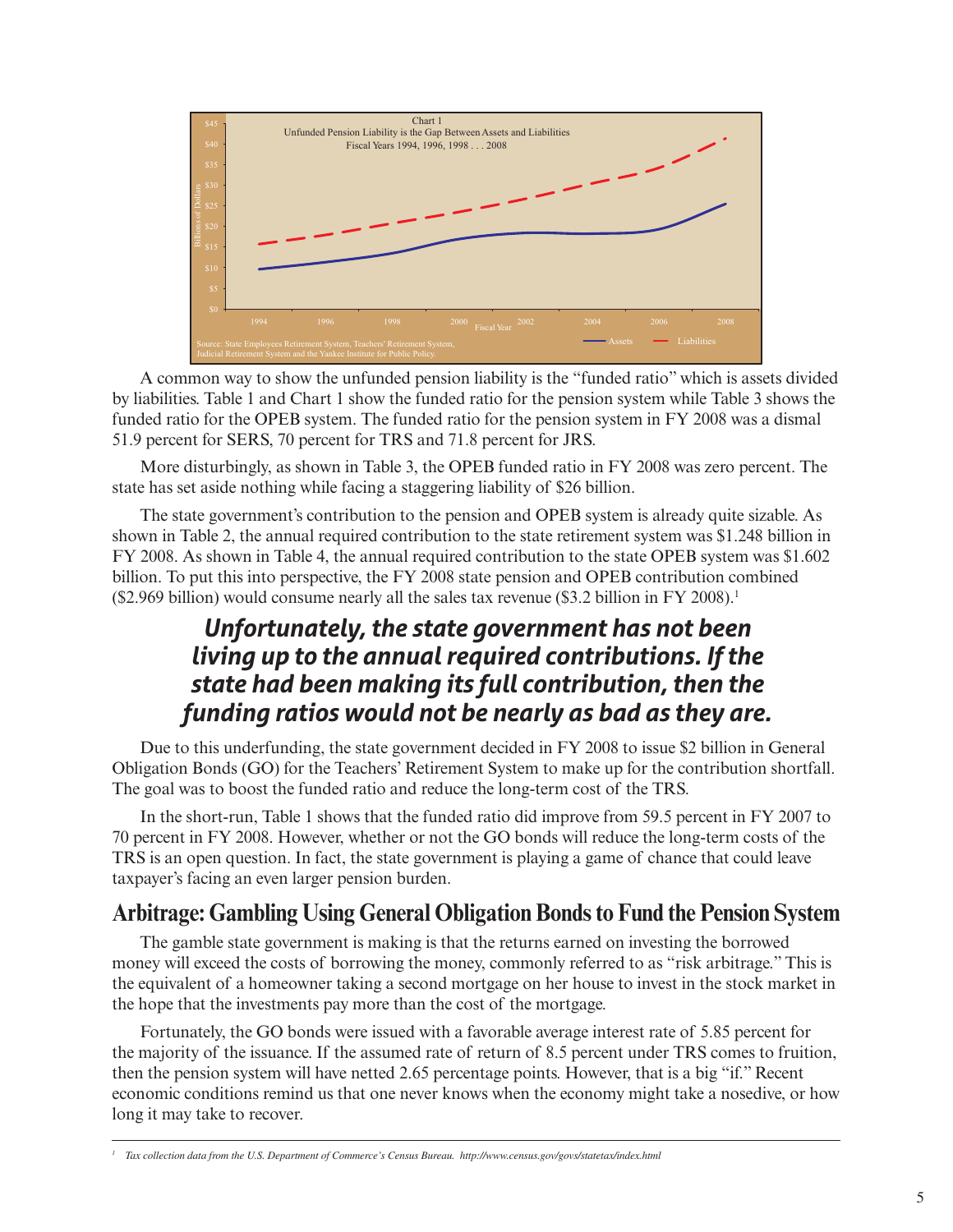

A common way to show the unfunded pension liability is the "funded ratio" which is assets divided by liabilities. Table 1 and Chart 1 show the funded ratio for the pension system while Table 3 shows the funded ratio for the OPEB system. The funded ratio for the pension system in FY 2008 was a dismal 51.9 percent for SERS, 70 percent for TRS and 71.8 percent for JRS.

More disturbingly, as shown in Table 3, the OPEB funded ratio in FY 2008 was zero percent. The state has set aside nothing while facing a staggering liability of \$26 billion.

The state government's contribution to the pension and OPEB system is already quite sizable. As shown in Table 2, the annual required contribution to the state retirement system was \$1.248 billion in FY 2008. As shown in Table 4, the annual required contribution to the state OPEB system was \$1.602 billion. To put this into perspective, the FY 2008 state pension and OPEB contribution combined (\$2.969 billion) would consume nearly all the sales tax revenue (\$3.2 billion in FY 2008).<sup>1</sup>

# *Unfortunately, the state government has not been living up to the annual required contributions. If the state had been making its full contribution, then the funding ratios would not be nearly as bad as they are.*

Due to this underfunding, the state government decided in FY 2008 to issue \$2 billion in General Obligation Bonds (GO) for the Teachers' Retirement System to make up for the contribution shortfall. The goal was to boost the funded ratio and reduce the long-term cost of the TRS.

In the short-run, Table 1 shows that the funded ratio did improve from 59.5 percent in FY 2007 to 70 percent in FY 2008. However, whether or not the GO bonds will reduce the long-term costs of the TRS is an open question. In fact, the state government is playing a game of chance that could leave taxpayer's facing an even larger pension burden.

#### **Arbitrage: Gambling Using General Obligation Bonds to Fund the Pension System**

The gamble state government is making is that the returns earned on investing the borrowed money will exceed the costs of borrowing the money, commonly referred to as "risk arbitrage." This is the equivalent of a homeowner taking a second mortgage on her house to invest in the stock market in the hope that the investments pay more than the cost of the mortgage.

Fortunately, the GO bonds were issued with a favorable average interest rate of 5.85 percent for the majority of the issuance. If the assumed rate of return of 8.5 percent under TRS comes to fruition, then the pension system will have netted 2.65 percentage points. However, that is a big "if." Recent economic conditions remind us that one never knows when the economy might take a nosedive, or how long it may take to recover.

<sup>&</sup>lt;sup>1</sup> Tax collection data from the U.S. Department of Commerce's Census Bureau. http://www.census.gov/govs/statetax/index.html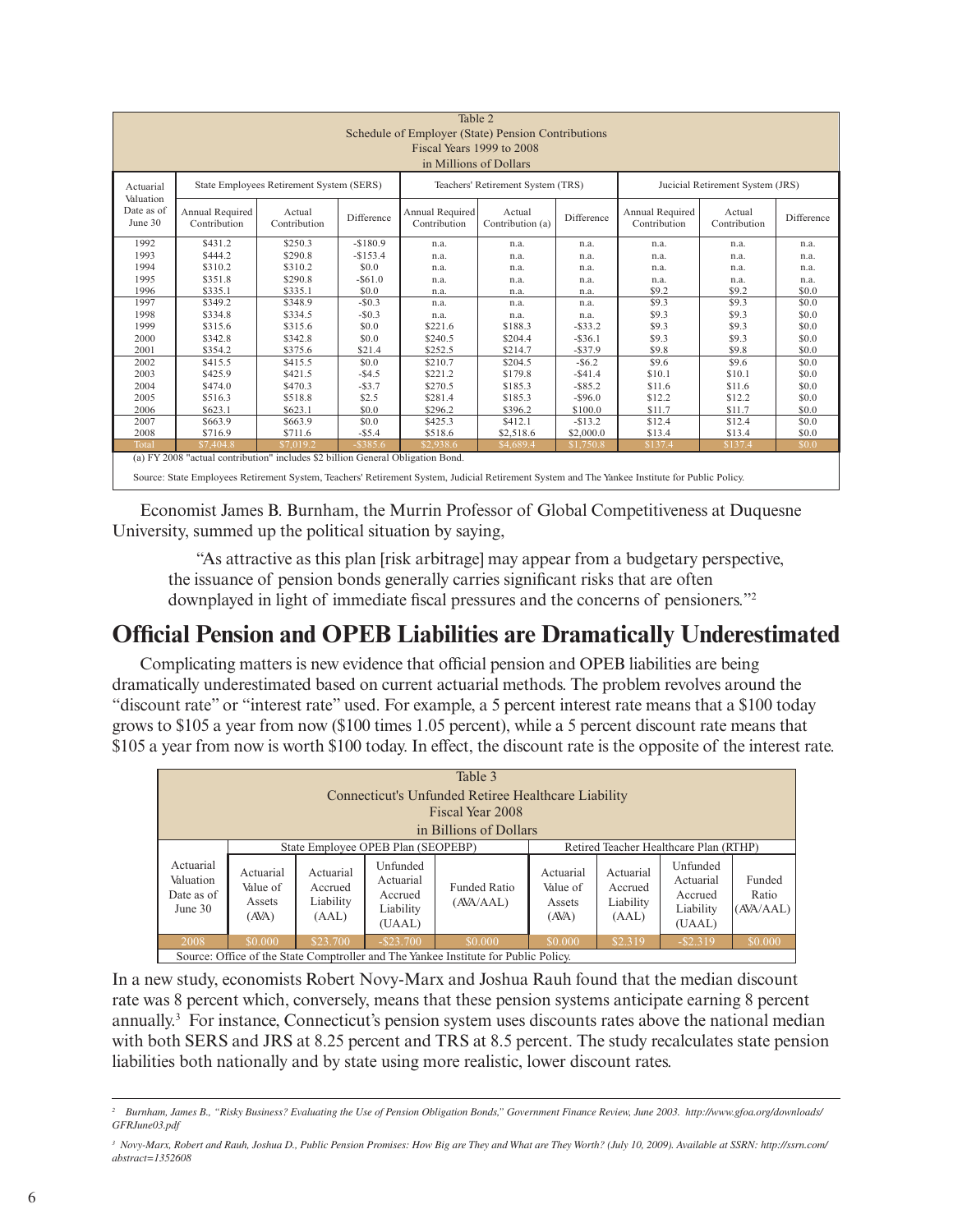| Table 2<br>Schedule of Employer (State) Pension Contributions<br>Fiscal Years 1999 to 2008<br>in Millions of Dollars                                                                                                              |                                 |                                          |             |                                   |                            |            |                                  |                        |            |
|-----------------------------------------------------------------------------------------------------------------------------------------------------------------------------------------------------------------------------------|---------------------------------|------------------------------------------|-------------|-----------------------------------|----------------------------|------------|----------------------------------|------------------------|------------|
| Actuarial                                                                                                                                                                                                                         |                                 | State Employees Retirement System (SERS) |             | Teachers' Retirement System (TRS) |                            |            | Jucicial Retirement System (JRS) |                        |            |
| Valuation<br>Date as of<br>June 30                                                                                                                                                                                                | Annual Required<br>Contribution | Actual<br>Contribution                   | Difference  | Annual Required<br>Contribution   | Actual<br>Contribution (a) | Difference | Annual Required<br>Contribution  | Actual<br>Contribution | Difference |
| 1992                                                                                                                                                                                                                              | \$431.2                         | \$250.3                                  | $-$180.9$   | n.a.                              | n.a.                       | n.a.       | n.a.                             | n.a.                   | n.a.       |
| 1993                                                                                                                                                                                                                              | \$444.2                         | \$290.8                                  | $-$153.4$   | n.a.                              | n.a.                       | n.a.       | n.a.                             | n.a.                   | n.a.       |
| 1994                                                                                                                                                                                                                              | \$310.2                         | \$310.2                                  | \$0.0       | n.a.                              | n.a.                       | n.a.       | n.a.                             | n.a.                   | n.a.       |
| 1995                                                                                                                                                                                                                              | \$351.8                         | \$290.8                                  | $-$ \$61.0  | n.a.                              | n.a.                       | n.a.       | n.a.                             | n.a.                   | n.a.       |
| 1996                                                                                                                                                                                                                              | \$335.1                         | \$335.1                                  | \$0.0       | n.a.                              | n.a.                       | n.a.       | \$9.2                            | \$9.2                  | \$0.0      |
| 1997                                                                                                                                                                                                                              | \$349.2                         | \$348.9                                  | $-$0.3$     | n.a.                              | n.a.                       | n.a.       | \$9.3                            | \$9.3                  | \$0.0      |
| 1998                                                                                                                                                                                                                              | \$334.8                         | \$334.5                                  | $-$0.3$     | n.a.                              | n.a.                       | n.a.       | \$9.3                            | \$9.3                  | \$0.0      |
| 1999                                                                                                                                                                                                                              | \$315.6                         | \$315.6                                  | \$0.0       | \$221.6                           | \$188.3                    | $-$ \$33.2 | \$9.3                            | \$9.3                  | \$0.0      |
| 2000                                                                                                                                                                                                                              | \$342.8                         | \$342.8                                  | \$0.0       | \$240.5                           | \$204.4                    | $-$ \$36.1 | \$9.3                            | \$9.3                  | \$0.0      |
| 2001                                                                                                                                                                                                                              | \$354.2                         | \$375.6                                  | \$21.4      | \$252.5                           | \$214.7                    | $-$ \$37.9 | \$9.8                            | \$9.8                  | \$0.0      |
| 2002                                                                                                                                                                                                                              | \$415.5                         | \$415.5                                  | \$0.0       | \$210.7                           | \$204.5                    | $-$ \$6.2  | \$9.6                            | \$9.6                  | \$0.0      |
| 2003                                                                                                                                                                                                                              | \$425.9                         | \$421.5                                  | $-$ \$4.5   | \$221.2                           | \$179.8                    | $-$ \$41.4 | \$10.1                           | \$10.1                 | \$0.0      |
| 2004                                                                                                                                                                                                                              | \$474.0                         | \$470.3                                  | $-$ \$3.7   | \$270.5                           | \$185.3                    | $-$ \$85.2 | \$11.6                           | \$11.6                 | \$0.0      |
| 2005                                                                                                                                                                                                                              | \$516.3                         | \$518.8                                  | \$2.5       | \$281.4                           | \$185.3                    | $-$ \$96.0 | \$12.2                           | \$12.2                 | \$0.0      |
| 2006                                                                                                                                                                                                                              | \$623.1                         | \$623.1                                  | \$0.0       | \$296.2                           | \$396.2                    | \$100.0    | \$11.7                           | \$11.7                 | \$0.0      |
| 2007                                                                                                                                                                                                                              | \$663.9                         | \$663.9                                  | \$0.0       | \$425.3                           | \$412.1                    | $-$13.2$   | \$12.4                           | \$12.4                 | \$0.0      |
| 2008                                                                                                                                                                                                                              | \$716.9                         | \$711.6                                  | $-$ \$5.4   | \$518.6                           | \$2,518.6                  | \$2,000.0  | \$13.4                           | \$13.4                 | \$0.0      |
| Total                                                                                                                                                                                                                             | \$7.404.8                       | \$70192                                  | $-$ \$385.6 | \$2.938.6                         | \$4,689.4                  | \$1,750.8  | \$137.4                          | \$137.4                | \$0.0      |
| (a) FY 2008 "actual contribution" includes \$2 billion General Obligation Bond.<br>Source: State Employees Retirement System, Teachers' Retirement System, Judicial Retirement System and The Yankee Institute for Public Policy. |                                 |                                          |             |                                   |                            |            |                                  |                        |            |

Economist James B. Burnham, the Murrin Professor of Global Competitiveness at Duquesne University, summed up the political situation by saying,

"As attractive as this plan [risk arbitrage] may appear from a budgetary perspective, the issuance of pension bonds generally carries significant risks that are often downplayed in light of immediate fiscal pressures and the concerns of pensioners."2

# **Official Pension and OPEB Liabilities are Dramatically Underestimated**

Complicating matters is new evidence that official pension and OPEB liabilities are being dramatically underestimated based on current actuarial methods. The problem revolves around the "discount rate" or "interest rate" used. For example, a 5 percent interest rate means that a \$100 today grows to \$105 a year from now (\$100 times 1.05 percent), while a 5 percent discount rate means that \$105 a year from now is worth \$100 today. In effect, the discount rate is the opposite of the interest rate.

| Table 3<br>Connecticut's Unfunded Retiree Healthcare Liability<br>Fiscal Year 2008<br>in Billions of Dollars |                                          |                                            |                                                         |                                  |                                          |                                            |                                                         |                              |
|--------------------------------------------------------------------------------------------------------------|------------------------------------------|--------------------------------------------|---------------------------------------------------------|----------------------------------|------------------------------------------|--------------------------------------------|---------------------------------------------------------|------------------------------|
| Retired Teacher Healthcare Plan (RTHP)<br>State Employee OPEB Plan (SEOPEBP)                                 |                                          |                                            |                                                         |                                  |                                          |                                            |                                                         |                              |
| Actuarial<br>Valuation<br>Date as of<br>June 30                                                              | Actuarial<br>Value of<br>Assets<br>(AVA) | Actuarial<br>Accrued<br>Liability<br>(AAL) | Unfunded<br>Actuarial<br>Accrued<br>Liability<br>(UAAL) | <b>Funded Ratio</b><br>(AVA/AAL) | Actuarial<br>Value of<br>Assets<br>(AVA) | Actuarial<br>Accrued<br>Liability<br>(AAL) | Unfunded<br>Actuarial<br>Accrued<br>Liability<br>(UAAL) | Funded<br>Ratio<br>(AVA/AAL) |
| 2008                                                                                                         | \$0,000                                  | \$23,700                                   | $-$ \$23.700                                            | \$0,000                          | \$0,000                                  | \$2.319                                    | $-$ \$2.319                                             | \$0.000                      |
| Source: Office of the State Comptroller and The Yankee Institute for Public Policy.                          |                                          |                                            |                                                         |                                  |                                          |                                            |                                                         |                              |

In a new study, economists Robert Novy-Marx and Joshua Rauh found that the median discount rate was 8 percent which, conversely, means that these pension systems anticipate earning 8 percent annually.3 For instance, Connecticut's pension system uses discounts rates above the national median with both SERS and JRS at 8.25 percent and TRS at 8.5 percent. The study recalculates state pension liabilities both nationally and by state using more realistic, lower discount rates.

*<sup>2</sup> Burnham, James B., "Risky Business? Evaluating the Use of Pension Obligation Bonds," Government Finance Review, June 2003. http://www.gfoa.org/downloads/ GFRJune03.pdf* 

*<sup>3</sup> Novy-Marx, Robert and Rauh, Joshua D., Public Pension Promises: How Big are They and What are They Worth? (July 10, 2009). Available at SSRN: http://ssrn.com/ abstract=1352608*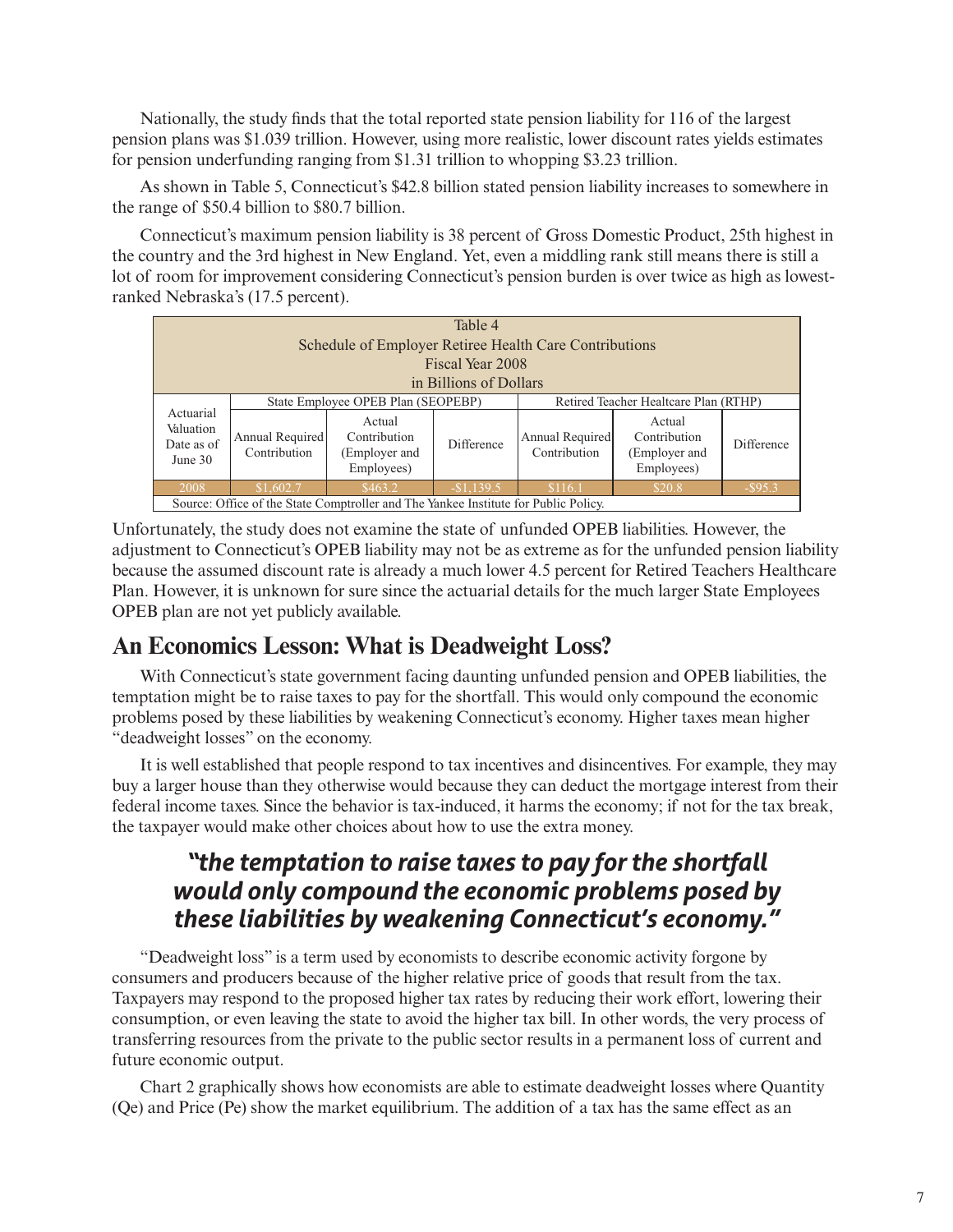Nationally, the study finds that the total reported state pension liability for 116 of the largest pension plans was \$1.039 trillion. However, using more realistic, lower discount rates yields estimates for pension underfunding ranging from \$1.31 trillion to whopping \$3.23 trillion.

As shown in Table 5, Connecticut's \$42.8 billion stated pension liability increases to somewhere in the range of \$50.4 billion to \$80.7 billion.

Connecticut's maximum pension liability is 38 percent of Gross Domestic Product, 25th highest in the country and the 3rd highest in New England. Yet, even a middling rank still means there is still a lot of room for improvement considering Connecticut's pension burden is over twice as high as lowestranked Nebraska's (17.5 percent).

| Table 4<br>Schedule of Employer Retiree Health Care Contributions<br>Fiscal Year 2008<br>in Billions of Dollars |                                                                        |                                                       |                   |                                       |                                                       |            |  |  |
|-----------------------------------------------------------------------------------------------------------------|------------------------------------------------------------------------|-------------------------------------------------------|-------------------|---------------------------------------|-------------------------------------------------------|------------|--|--|
|                                                                                                                 |                                                                        | State Employee OPEB Plan (SEOPEBP)                    |                   | Retired Teacher Healtcare Plan (RTHP) |                                                       |            |  |  |
| Actuarial<br>Valuation<br>Date as of<br>June $30$                                                               | Annual Required<br>Contribution                                        | Actual<br>Contribution<br>(Employer and<br>Employees) | <b>Difference</b> | Annual Required<br>Contribution       | Actual<br>Contribution<br>(Employer and<br>Employees) | Difference |  |  |
| 2008                                                                                                            | \$463.2<br>$-$1.139.5$<br>\$116.1<br>\$20.8<br>\$1,602.7<br>$-$ \$95.3 |                                                       |                   |                                       |                                                       |            |  |  |
| Source: Office of the State Comptroller and The Yankee Institute for Public Policy.                             |                                                                        |                                                       |                   |                                       |                                                       |            |  |  |

Unfortunately, the study does not examine the state of unfunded OPEB liabilities. However, the adjustment to Connecticut's OPEB liability may not be as extreme as for the unfunded pension liability because the assumed discount rate is already a much lower 4.5 percent for Retired Teachers Healthcare Plan. However, it is unknown for sure since the actuarial details for the much larger State Employees OPEB plan are not yet publicly available.

# **An Economics Lesson: What is Deadweight Loss?**

With Connecticut's state government facing daunting unfunded pension and OPEB liabilities, the temptation might be to raise taxes to pay for the shortfall. This would only compound the economic problems posed by these liabilities by weakening Connecticut's economy. Higher taxes mean higher "deadweight losses" on the economy.

It is well established that people respond to tax incentives and disincentives. For example, they may buy a larger house than they otherwise would because they can deduct the mortgage interest from their federal income taxes. Since the behavior is tax-induced, it harms the economy; if not for the tax break, the taxpayer would make other choices about how to use the extra money.

# *"the temptation to raise taxes to pay for the shortfall would only compound the economic problems posed by these liabilities by weakening Connecticut's economy."*

"Deadweight loss" is a term used by economists to describe economic activity forgone by consumers and producers because of the higher relative price of goods that result from the tax. Taxpayers may respond to the proposed higher tax rates by reducing their work effort, lowering their consumption, or even leaving the state to avoid the higher tax bill. In other words, the very process of transferring resources from the private to the public sector results in a permanent loss of current and future economic output.

Chart 2 graphically shows how economists are able to estimate deadweight losses where Quantity (Qe) and Price (Pe) show the market equilibrium. The addition of a tax has the same effect as an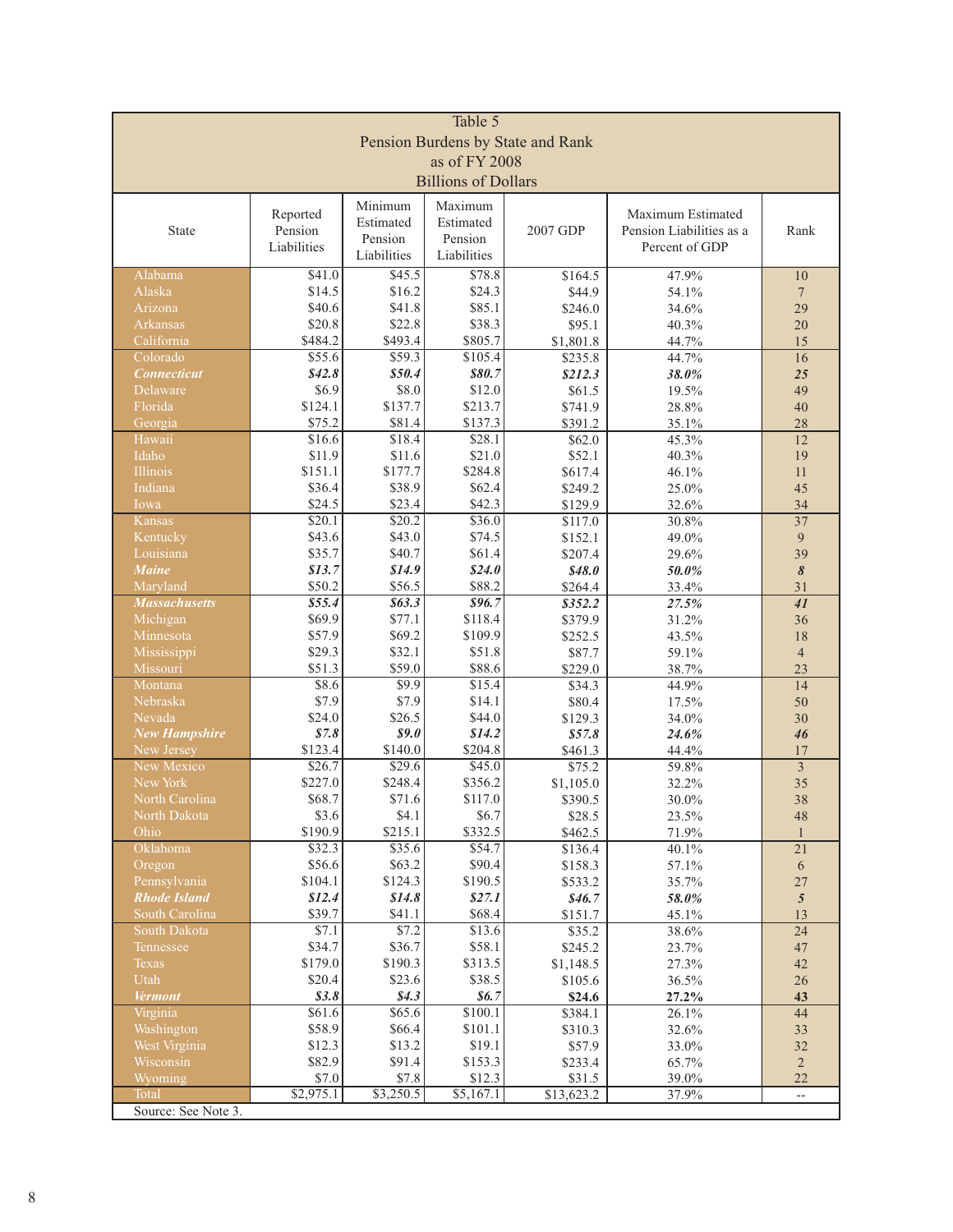| Table 5                           |                            |                   |                    |                      |                          |                       |  |  |
|-----------------------------------|----------------------------|-------------------|--------------------|----------------------|--------------------------|-----------------------|--|--|
| Pension Burdens by State and Rank |                            |                   |                    |                      |                          |                       |  |  |
| as of FY 2008                     |                            |                   |                    |                      |                          |                       |  |  |
|                                   | <b>Billions of Dollars</b> |                   |                    |                      |                          |                       |  |  |
|                                   |                            | Minimum           | Maximum            |                      |                          |                       |  |  |
|                                   | Reported                   | Estimated         | Estimated          |                      | Maximum Estimated        |                       |  |  |
| State                             | Pension                    | Pension           | Pension            | 2007 GDP             | Pension Liabilities as a | Rank                  |  |  |
|                                   | Liabilities                | Liabilities       | Liabilities        |                      | Percent of GDP           |                       |  |  |
| Alabama                           | \$41.0                     | \$45.5            | \$78.8             | \$164.5              | 47.9%                    | 10                    |  |  |
| Alaska                            | \$14.5                     | \$16.2            | \$24.3             | \$44.9               | 54.1%                    | $\overline{7}$        |  |  |
| Arizona                           | \$40.6                     | \$41.8            | \$85.1             | \$246.0              | 34.6%                    | 29                    |  |  |
| Arkansas                          | \$20.8                     | \$22.8            | \$38.3             | \$95.1               | 40.3%                    | 20                    |  |  |
| California<br>Colorado            | \$484.2<br>\$55.6          | \$493.4<br>\$59.3 | \$805.7<br>\$105.4 | \$1,801.8            | 44.7%                    | 15                    |  |  |
| <b>Connecticut</b>                | \$42.8\$                   | \$50.4            | \$80.7             | \$235.8<br>\$212.3   | 44.7%<br>38.0%           | 16<br>25              |  |  |
| Delaware                          | \$6.9                      | \$8.0             | \$12.0             | \$61.5               | 19.5%                    | 49                    |  |  |
| Florida                           | \$124.1                    | \$137.7           | \$213.7            | \$741.9              | 28.8%                    | 40                    |  |  |
| Georgia                           | \$75.2                     | \$81.4            | \$137.3            | \$391.2              | 35.1%                    | 28                    |  |  |
| Hawaii                            | \$16.6                     | \$18.4            | \$28.1             | \$62.0               | 45.3%                    | 12                    |  |  |
| Idaho                             | \$11.9                     | \$11.6            | \$21.0             | \$52.1               | 40.3%                    | 19                    |  |  |
| <b>Illinois</b>                   | \$151.1                    | \$177.7           | \$284.8            | \$617.4              | 46.1%                    | 11                    |  |  |
| Indiana                           | \$36.4                     | \$38.9            | \$62.4             | \$249.2              | 25.0%                    | 45                    |  |  |
| Iowa<br>Kansas                    | \$24.5<br>\$20.1           | \$23.4<br>\$20.2  | \$42.3<br>\$36.0   | \$129.9<br>\$117.0   | 32.6%<br>30.8%           | 34<br>$\overline{37}$ |  |  |
| Kentucky                          | \$43.6                     | \$43.0            | \$74.5             | \$152.1              | 49.0%                    | 9                     |  |  |
| Louisiana                         | \$35.7                     | \$40.7            | \$61.4             | \$207.4              | 29.6%                    | 39                    |  |  |
| <b>Maine</b>                      | \$13.7                     | \$14.9            | \$24.0             | \$48.0               | 50.0%                    | 8                     |  |  |
| Maryland                          | \$50.2                     | \$56.5            | \$88.2             | \$264.4              | 33.4%                    | 31                    |  |  |
| <b>Massachusetts</b>              | \$55.4                     | \$63.3\$          | 896.7              | \$352.2              | 27.5%                    | 41                    |  |  |
| Michigan                          | \$69.9                     | \$77.1            | \$118.4            | \$379.9              | 31.2%                    | 36                    |  |  |
| Minnesota                         | \$57.9<br>\$29.3           | \$69.2<br>\$32.1  | \$109.9<br>\$51.8  | \$252.5              | 43.5%                    | 18                    |  |  |
| Mississippi<br>Missouri           | \$51.3                     | \$59.0            | \$88.6             | \$87.7<br>\$229.0    | 59.1%<br>38.7%           | $\overline{4}$<br>23  |  |  |
| Montana                           | \$8.6                      | \$9.9             | \$15.4             | \$34.3               | 44.9%                    | 14                    |  |  |
| Nebraska                          | \$7.9                      | \$7.9             | \$14.1             | \$80.4               | 17.5%                    | 50                    |  |  |
| Nevada                            | \$24.0                     | \$26.5            | \$44.0             | \$129.3              | 34.0%                    | 30                    |  |  |
| <b>New Hampshire</b>              | \$7.8                      | \$9.0             | \$14.2             | \$57.8\$             | 24.6%                    | 46                    |  |  |
| New Jersey                        | \$123.4                    | \$140.0           | \$204.8            | \$461.3              | 44.4%                    | 17                    |  |  |
| New Mexico<br>New York            | \$26.7<br>\$227.0          | \$29.6<br>\$248.4 | \$45.0<br>\$356.2  | \$75.2               | 59.8%                    | $\overline{3}$<br>35  |  |  |
| North Carolina                    | \$68.7                     | \$71.6            | \$117.0            | \$1,105.0<br>\$390.5 | 32.2%<br>30.0%           | 38                    |  |  |
| North Dakota                      | \$3.6                      | \$4.1             | \$6.7              | \$28.5               | 23.5%                    | 48                    |  |  |
| Ohio                              | \$190.9                    | \$215.1           | \$332.5            | \$462.5              | 71.9%                    |                       |  |  |
| Oklahoma                          | \$32.3                     | \$35.6            | \$54.7             | \$136.4              | 40.1%                    | 21                    |  |  |
| Oregon                            | \$56.6                     | \$63.2            | \$90.4             | \$158.3              | 57.1%                    | 6                     |  |  |
| Pennsylvania                      | \$104.1                    | \$124.3           | \$190.5            | \$533.2              | 35.7%                    | 27                    |  |  |
| <b>Rhode Island</b>               | \$12.4                     | \$14.8            | \$27.1             | \$46.7               | 58.0%                    | $\mathfrak{s}$        |  |  |
| South Carolina<br>South Dakota    | \$39.7<br>\$7.1            | \$41.1<br>\$7.2   | \$68.4<br>\$13.6   | \$151.7<br>\$35.2    | 45.1%<br>38.6%           | 13<br>24              |  |  |
| Tennessee                         | \$34.7                     | \$36.7            | \$58.1             | \$245.2              | 23.7%                    | 47                    |  |  |
| Texas                             | \$179.0                    | \$190.3           | \$313.5            | \$1,148.5            | 27.3%                    | $42\,$                |  |  |
| Utah                              | \$20.4                     | \$23.6            | \$38.5             | \$105.6              | 36.5%                    | 26                    |  |  |
| <b>Vermont</b>                    | \$3.8\$                    | \$4.3             | \$6.7              | \$24.6               | 27.2%                    | 43                    |  |  |
| Virginia                          | \$61.6                     | \$65.6            | \$100.1            | \$384.1              | 26.1%                    | 44                    |  |  |
| Washington                        | \$58.9                     | \$66.4            | \$101.1            | \$310.3              | 32.6%                    | 33                    |  |  |
| West Virginia                     | \$12.3                     | \$13.2            | \$19.1             | \$57.9               | 33.0%                    | 32                    |  |  |
| Wisconsin<br>Wyoming              | \$82.9<br>$\$7.0$          | \$91.4<br>\$7.8   | \$153.3<br>\$12.3  | \$233.4<br>\$31.5    | 65.7%<br>39.0%           | $\overline{2}$<br>22  |  |  |
| Total                             | \$2,975.1                  | \$3,250.5         | \$5,167.1          | \$13,623.2           | 37.9%                    | $-$                   |  |  |
| Source: See Note 3.               |                            |                   |                    |                      |                          |                       |  |  |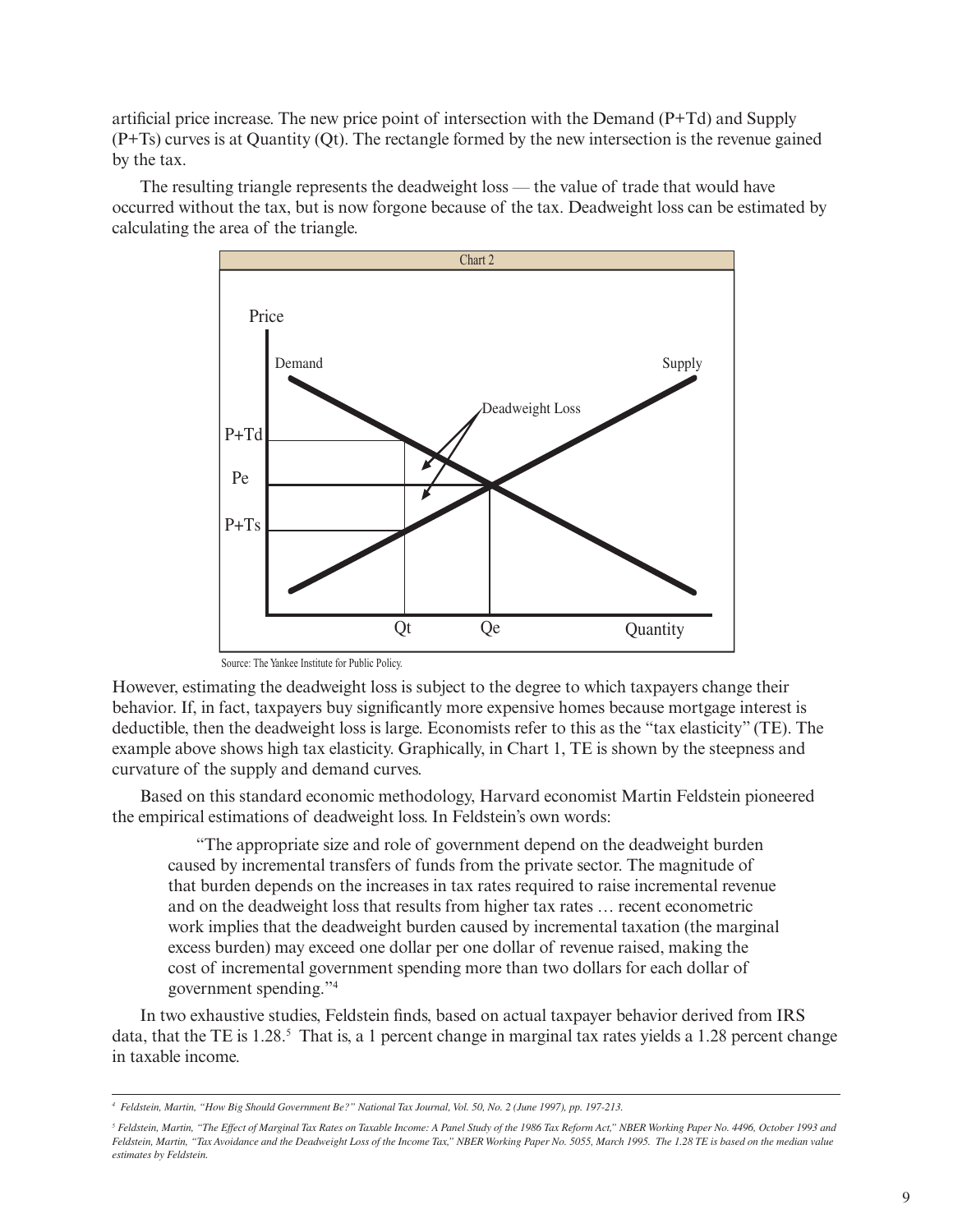artificial price increase. The new price point of intersection with the Demand (P+Td) and Supply (P+Ts) curves is at Quantity (Qt). The rectangle formed by the new intersection is the revenue gained by the tax.

The resulting triangle represents the deadweight loss — the value of trade that would have occurred without the tax, but is now forgone because of the tax. Deadweight loss can be estimated by calculating the area of the triangle.



Source: The Yankee Institute for Public Policy.

However, estimating the deadweight loss is subject to the degree to which taxpayers change their behavior. If, in fact, taxpayers buy significantly more expensive homes because mortgage interest is deductible, then the deadweight loss is large. Economists refer to this as the "tax elasticity" (TE). The example above shows high tax elasticity. Graphically, in Chart 1, TE is shown by the steepness and curvature of the supply and demand curves.

Based on this standard economic methodology, Harvard economist Martin Feldstein pioneered the empirical estimations of deadweight loss. In Feldstein's own words:

"The appropriate size and role of government depend on the deadweight burden caused by incremental transfers of funds from the private sector. The magnitude of that burden depends on the increases in tax rates required to raise incremental revenue and on the deadweight loss that results from higher tax rates … recent econometric work implies that the deadweight burden caused by incremental taxation (the marginal excess burden) may exceed one dollar per one dollar of revenue raised, making the cost of incremental government spending more than two dollars for each dollar of government spending."4

In two exhaustive studies, Feldstein finds, based on actual taxpayer behavior derived from IRS data, that the TE is 1.28.<sup>5</sup> That is, a 1 percent change in marginal tax rates yields a 1.28 percent change in taxable income.

*<sup>4</sup> Feldstein, Martin, "How Big Should Government Be?" National Tax Journal, Vol. 50, No. 2 (June 1997), pp. 197-213.* 

*<sup>5</sup> Feldstein, Martin, "The Effect of Marginal Tax Rates on Taxable Income: A Panel Study of the 1986 Tax Reform Act," NBER Working Paper No. 4496, October 1993 and Feldstein, Martin, "Tax Avoidance and the Deadweight Loss of the Income Tax," NBER Working Paper No. 5055, March 1995. The 1.28 TE is based on the median value estimates by Feldstein.*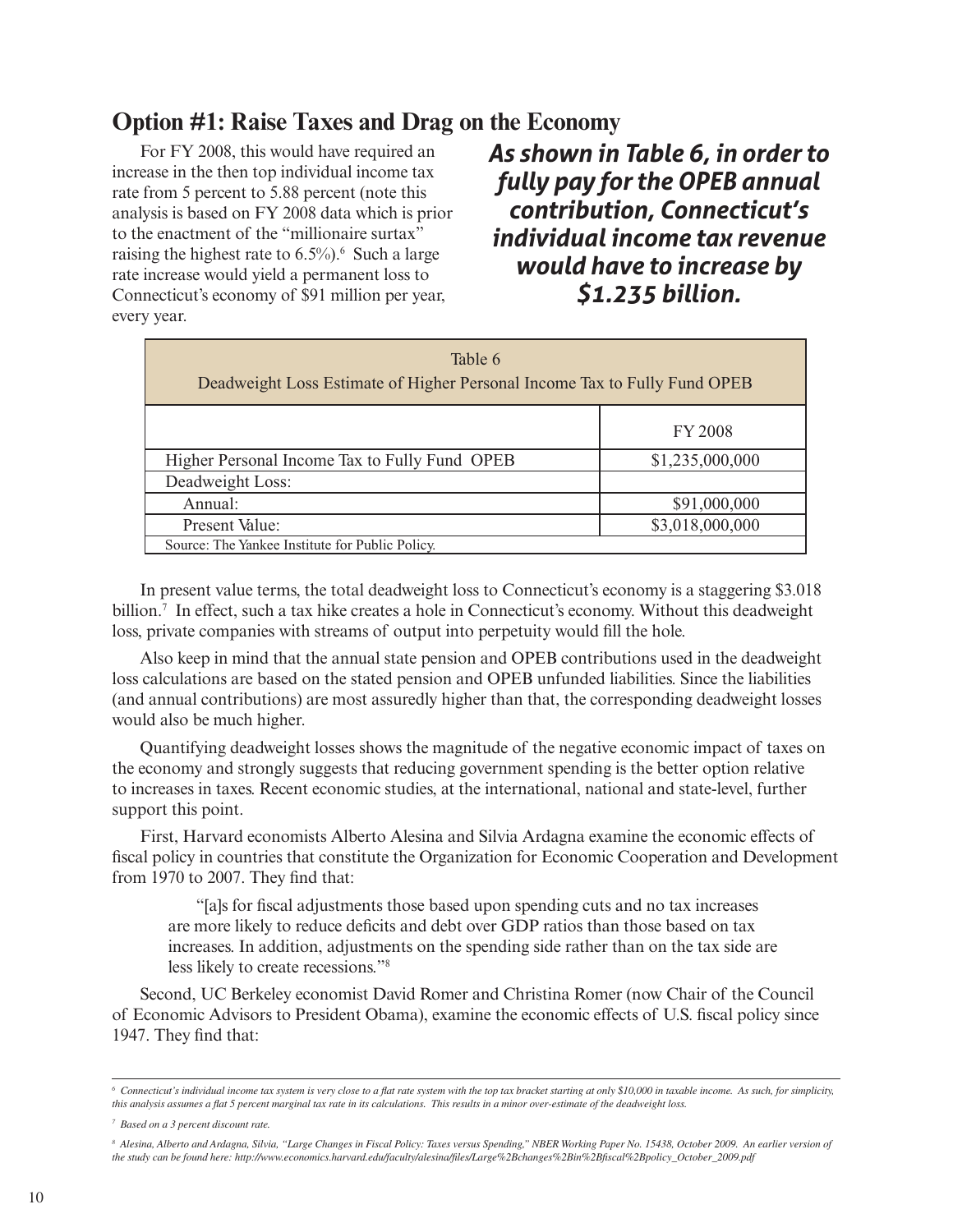#### **Option #1: Raise Taxes and Drag on the Economy**

For FY 2008, this would have required an increase in the then top individual income tax rate from 5 percent to 5.88 percent (note this analysis is based on FY 2008 data which is prior to the enactment of the "millionaire surtax" raising the highest rate to  $6.5\%$ ).<sup>6</sup> Such a large rate increase would yield a permanent loss to Connecticut's economy of \$91 million per year, every year.

*As shown in Table 6, in order to fully pay for the OPEB annual contribution, Connecticut's individual income tax revenue would have to increase by \$1.235 billion.*

| Table 6<br>Deadweight Loss Estimate of Higher Personal Income Tax to Fully Fund OPEB |                 |  |  |  |  |  |
|--------------------------------------------------------------------------------------|-----------------|--|--|--|--|--|
|                                                                                      | <b>FY 2008</b>  |  |  |  |  |  |
| Higher Personal Income Tax to Fully Fund OPEB                                        | \$1,235,000,000 |  |  |  |  |  |
| Deadweight Loss:                                                                     |                 |  |  |  |  |  |
| Annual:                                                                              | \$91,000,000    |  |  |  |  |  |
| Present Value:                                                                       | \$3,018,000,000 |  |  |  |  |  |
| Source: The Yankee Institute for Public Policy.                                      |                 |  |  |  |  |  |

In present value terms, the total deadweight loss to Connecticut's economy is a staggering \$3.018 billion.<sup>7</sup> In effect, such a tax hike creates a hole in Connecticut's economy. Without this deadweight loss, private companies with streams of output into perpetuity would fill the hole.

Also keep in mind that the annual state pension and OPEB contributions used in the deadweight loss calculations are based on the stated pension and OPEB unfunded liabilities. Since the liabilities (and annual contributions) are most assuredly higher than that, the corresponding deadweight losses would also be much higher.

Quantifying deadweight losses shows the magnitude of the negative economic impact of taxes on the economy and strongly suggests that reducing government spending is the better option relative to increases in taxes. Recent economic studies, at the international, national and state-level, further support this point.

First, Harvard economists Alberto Alesina and Silvia Ardagna examine the economic effects of fiscal policy in countries that constitute the Organization for Economic Cooperation and Development from 1970 to 2007. They find that:

"[a]s for fiscal adjustments those based upon spending cuts and no tax increases are more likely to reduce deficits and debt over GDP ratios than those based on tax increases. In addition, adjustments on the spending side rather than on the tax side are less likely to create recessions."8

Second, UC Berkeley economist David Romer and Christina Romer (now Chair of the Council of Economic Advisors to President Obama), examine the economic effects of U.S. fiscal policy since 1947. They find that:

*<sup>6</sup> Connecticut's individual income tax system is very close to a flat rate system with the top tax bracket starting at only \$10,000 in taxable income. As such, for simplicity, this analysis assumes a flat 5 percent marginal tax rate in its calculations. This results in a minor over-estimate of the deadweight loss.*

*<sup>7</sup> Based on a 3 percent discount rate.*

<sup>&</sup>lt;sup>8</sup> Alesina, Alberto and Ardagna, Silvia, "Large Changes in Fiscal Policy: Taxes versus Spending," NBER Working Paper No. 15438, October 2009. An earlier version of *the study can be found here: http://www.economics.harvard.edu/faculty/alesina/files/Large%2Bchanges%2Bin%2Bfiscal%2Bpolicy\_October\_2009.pdf*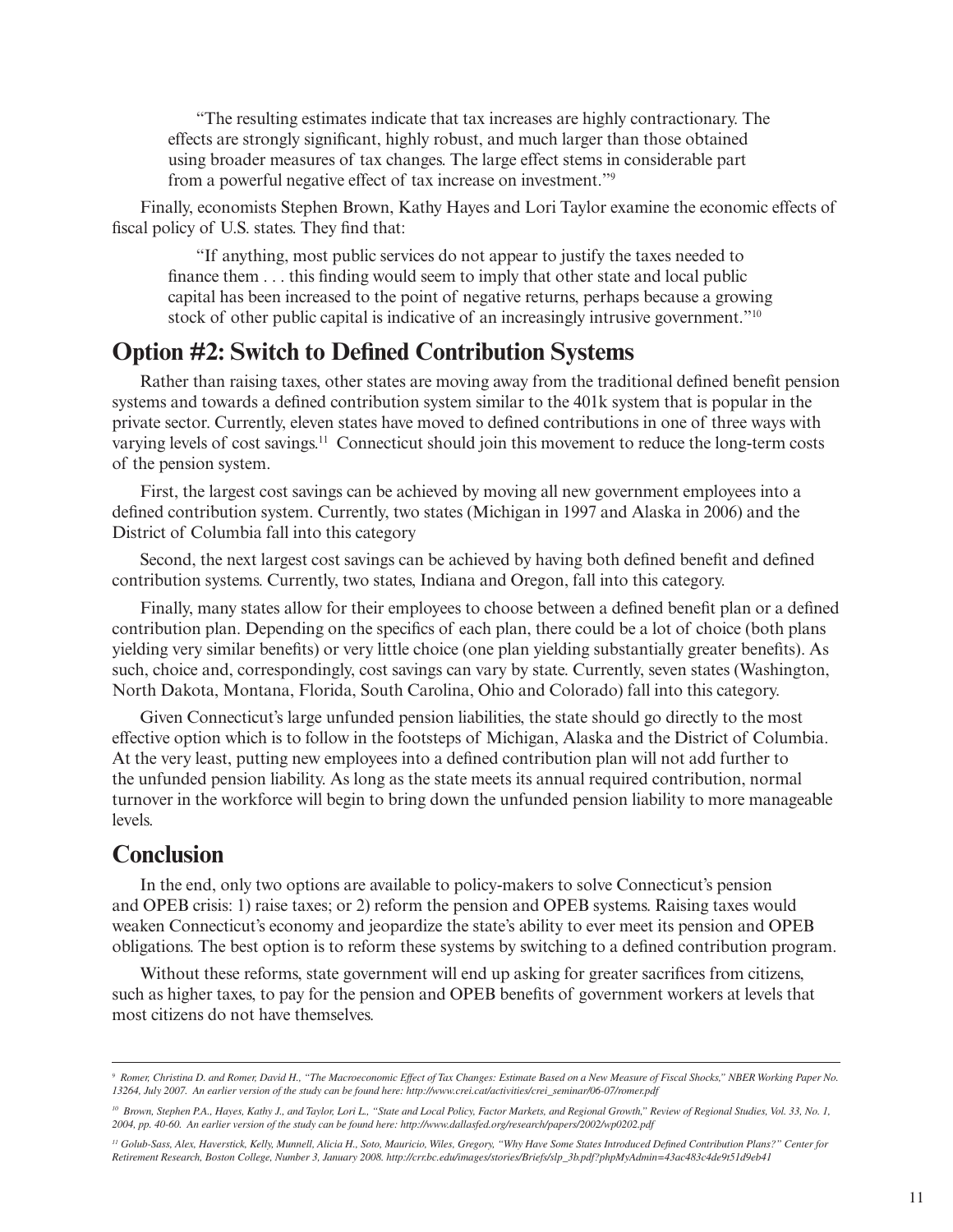"The resulting estimates indicate that tax increases are highly contractionary. The effects are strongly significant, highly robust, and much larger than those obtained using broader measures of tax changes. The large effect stems in considerable part from a powerful negative effect of tax increase on investment."9

Finally, economists Stephen Brown, Kathy Hayes and Lori Taylor examine the economic effects of fiscal policy of U.S. states. They find that:

"If anything, most public services do not appear to justify the taxes needed to finance them . . . this finding would seem to imply that other state and local public capital has been increased to the point of negative returns, perhaps because a growing stock of other public capital is indicative of an increasingly intrusive government."<sup>10</sup>

#### **Option #2: Switch to Defined Contribution Systems**

Rather than raising taxes, other states are moving away from the traditional defined benefit pension systems and towards a defined contribution system similar to the 401k system that is popular in the private sector. Currently, eleven states have moved to defined contributions in one of three ways with varying levels of cost savings.<sup>11</sup> Connecticut should join this movement to reduce the long-term costs of the pension system.

First, the largest cost savings can be achieved by moving all new government employees into a defined contribution system. Currently, two states (Michigan in 1997 and Alaska in 2006) and the District of Columbia fall into this category

Second, the next largest cost savings can be achieved by having both defined benefit and defined contribution systems. Currently, two states, Indiana and Oregon, fall into this category.

Finally, many states allow for their employees to choose between a defined benefit plan or a defined contribution plan. Depending on the specifics of each plan, there could be a lot of choice (both plans yielding very similar benefits) or very little choice (one plan yielding substantially greater benefits). As such, choice and, correspondingly, cost savings can vary by state. Currently, seven states (Washington, North Dakota, Montana, Florida, South Carolina, Ohio and Colorado) fall into this category.

Given Connecticut's large unfunded pension liabilities, the state should go directly to the most effective option which is to follow in the footsteps of Michigan, Alaska and the District of Columbia. At the very least, putting new employees into a defined contribution plan will not add further to the unfunded pension liability. As long as the state meets its annual required contribution, normal turnover in the workforce will begin to bring down the unfunded pension liability to more manageable levels.

#### **Conclusion**

In the end, only two options are available to policy-makers to solve Connecticut's pension and OPEB crisis: 1) raise taxes; or 2) reform the pension and OPEB systems. Raising taxes would weaken Connecticut's economy and jeopardize the state's ability to ever meet its pension and OPEB obligations. The best option is to reform these systems by switching to a defined contribution program.

Without these reforms, state government will end up asking for greater sacrifices from citizens, such as higher taxes, to pay for the pension and OPEB benefits of government workers at levels that most citizens do not have themselves.

*<sup>9</sup> Romer, Christina D. and Romer, David H., "The Macroeconomic Effect of Tax Changes: Estimate Based on a New Measure of Fiscal Shocks," NBER Working Paper No. 13264, July 2007. An earlier version of the study can be found here: http://www.crei.cat/activities/crei\_seminar/06-07/romer.pdf* 

*<sup>10</sup> Brown, Stephen P.A., Hayes, Kathy J., and Taylor, Lori L., "State and Local Policy, Factor Markets, and Regional Growth," Review of Regional Studies, Vol. 33, No. 1, 2004, pp. 40-60. An earlier version of the study can be found here: http://www.dallasfed.org/research/papers/2002/wp0202.pdf* 

*<sup>11</sup> Golub-Sass, Alex, Haverstick, Kelly, Munnell, Alicia H., Soto, Mauricio, Wiles, Gregory, "Why Have Some States Introduced Defined Contribution Plans?" Center for Retirement Research, Boston College, Number 3, January 2008. http://crr.bc.edu/images/stories/Briefs/slp\_3b.pdf?phpMyAdmin=43ac483c4de9t51d9eb41*